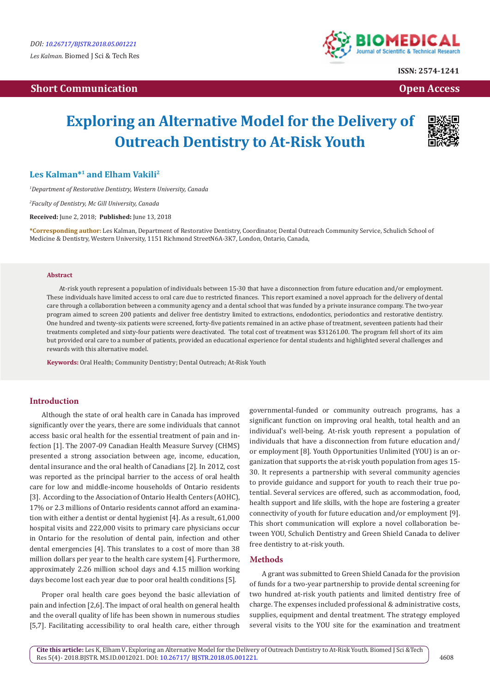## **Short Communication Communication Communication Communication Communication Communication Communication Communication**



**ISSN: 2574-1241**

# **Exploring an Alternative Model for the Delivery of Outreach Dentistry to At-Risk Youth**



### **Les Kalman\*1 and Elham Vakili2**

*1 Department of Restorative Dentistry, Western University, Canada*

*2 Faculty of Dentistry, Mc Gill University, Canada*

**Received:** June 2, 2018; **Published:** June 13, 2018

**\*Corresponding author:** Les Kalman, Department of Restorative Dentistry, Coordinator, Dental Outreach Community Service, Schulich School of Medicine & Dentistry, Western University, 1151 Richmond StreetN6A-3K7, London, Ontario, Canada,

#### **Abstract**

At-risk youth represent a population of individuals between 15-30 that have a disconnection from future education and/or employment. These individuals have limited access to oral care due to restricted finances. This report examined a novel approach for the delivery of dental care through a collaboration between a community agency and a dental school that was funded by a private insurance company. The two-year program aimed to screen 200 patients and deliver free dentistry limited to extractions, endodontics, periodontics and restorative dentistry. One hundred and twenty-six patients were screened, forty-five patients remained in an active phase of treatment, seventeen patients had their treatments completed and sixty-four patients were deactivated. The total cost of treatment was \$31261.00. The program fell short of its aim but provided oral care to a number of patients, provided an educational experience for dental students and highlighted several challenges and rewards with this alternative model.

**Keywords:** Oral Health; Community Dentistry; Dental Outreach; At-Risk Youth

#### **Introduction**

Although the state of oral health care in Canada has improved significantly over the years, there are some individuals that cannot access basic oral health for the essential treatment of pain and infection [1]. The 2007-09 Canadian Health Measure Survey (CHMS) presented a strong association between age, income, education, dental insurance and the oral health of Canadians [2]. In 2012, cost was reported as the principal barrier to the access of oral health care for low and middle-income households of Ontario residents [3]. According to the Association of Ontario Health Centers (AOHC), 17% or 2.3 millions of Ontario residents cannot afford an examination with either a dentist or dental hygienist [4]. As a result, 61,000 hospital visits and 222,000 visits to primary care physicians occur in Ontario for the resolution of dental pain, infection and other dental emergencies [4]. This translates to a cost of more than 38 million dollars per year to the health care system [4]. Furthermore, approximately 2.26 million school days and 4.15 million working days become lost each year due to poor oral health conditions [5].

Proper oral health care goes beyond the basic alleviation of pain and infection [2,6]. The impact of oral health on general health and the overall quality of life has been shown in numerous studies [5,7]. Facilitating accessibility to oral health care, either through

governmental-funded or community outreach programs, has a significant function on improving oral health, total health and an individual's well-being. At-risk youth represent a population of individuals that have a disconnection from future education and/ or employment [8]. Youth Opportunities Unlimited (YOU) is an organization that supports the at-risk youth population from ages 15- 30. It represents a partnership with several community agencies to provide guidance and support for youth to reach their true potential. Several services are offered, such as accommodation, food, health support and life skills, with the hope are fostering a greater connectivity of youth for future education and/or employment [9]. This short communication will explore a novel collaboration between YOU, Schulich Dentistry and Green Shield Canada to deliver free dentistry to at-risk youth.

#### **Methods**

A grant was submitted to Green Shield Canada for the provision of funds for a two-year partnership to provide dental screening for two hundred at-risk youth patients and limited dentistry free of charge. The expenses included professional & administrative costs, supplies, equipment and dental treatment. The strategy employed several visits to the YOU site for the examination and treatment